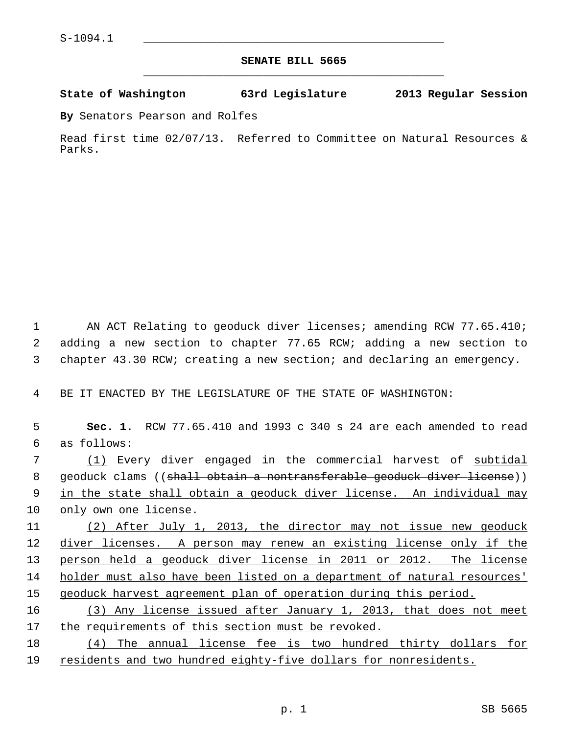## **SENATE BILL 5665** \_\_\_\_\_\_\_\_\_\_\_\_\_\_\_\_\_\_\_\_\_\_\_\_\_\_\_\_\_\_\_\_\_\_\_\_\_\_\_\_\_\_\_\_\_

## **State of Washington 63rd Legislature 2013 Regular Session**

**By** Senators Pearson and Rolfes

Read first time 02/07/13. Referred to Committee on Natural Resources & Parks.

1 AN ACT Relating to geoduck diver licenses; amending RCW 77.65.410; 2 adding a new section to chapter 77.65 RCW; adding a new section to 3 chapter 43.30 RCW; creating a new section; and declaring an emergency.

4 BE IT ENACTED BY THE LEGISLATURE OF THE STATE OF WASHINGTON:

| 5  | Sec. 1. RCW 77.65.410 and 1993 c 340 s 24 are each amended to read                  |
|----|-------------------------------------------------------------------------------------|
| 6  | as follows:                                                                         |
| 7  | (1) Every diver engaged in the commercial harvest of subtidal                       |
| 8  | geoduck clams (( <del>shall obtain a nontransferable geoduck diver license</del> )) |
| 9  | in the state shall obtain a geoduck diver license. An individual may                |
| 10 | only own one license.                                                               |
| 11 | (2) After July 1, 2013, the director may not issue new geoduck                      |
| 12 | diver licenses. A person may renew an existing license only if the                  |
| 13 | person held a geoduck diver license in 2011 or 2012. The license                    |
| 14 | holder must also have been listed on a department of natural resources'             |
| 15 | geoduck harvest agreement plan of operation during this period.                     |
| 16 | (3) Any license issued after January 1, 2013, that does not meet                    |
| 17 | the requirements of this section must be revoked.                                   |
|    |                                                                                     |

18 (4) The annual license fee is two hundred thirty dollars for 19 residents and two hundred eighty-five dollars for nonresidents.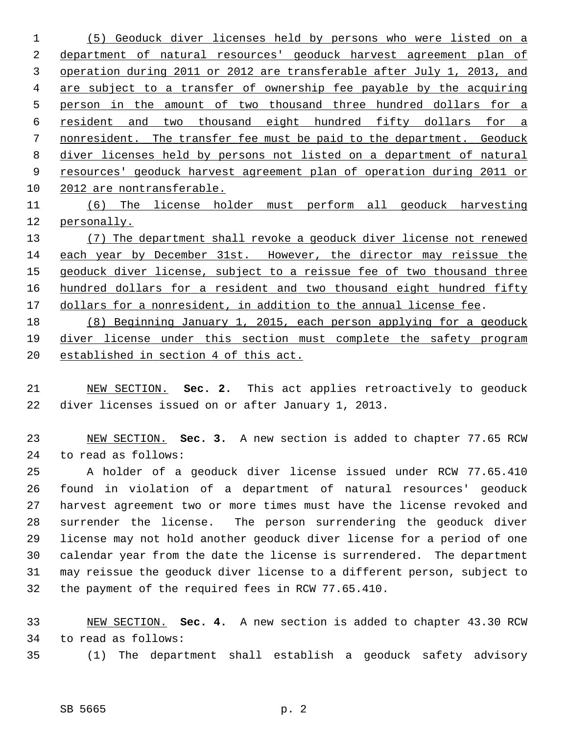(5) Geoduck diver licenses held by persons who were listed on a department of natural resources' geoduck harvest agreement plan of operation during 2011 or 2012 are transferable after July 1, 2013, and are subject to a transfer of ownership fee payable by the acquiring person in the amount of two thousand three hundred dollars for a resident and two thousand eight hundred fifty dollars for a nonresident. The transfer fee must be paid to the department. Geoduck diver licenses held by persons not listed on a department of natural resources' geoduck harvest agreement plan of operation during 2011 or 2012 are nontransferable. (6) The license holder must perform all geoduck harvesting

 personally. (7) The department shall revoke a geoduck diver license not renewed each year by December 31st. However, the director may reissue the geoduck diver license, subject to a reissue fee of two thousand three hundred dollars for a resident and two thousand eight hundred fifty dollars for a nonresident, in addition to the annual license fee.

 (8) Beginning January 1, 2015, each person applying for a geoduck 19 diver license under this section must complete the safety program established in section 4 of this act.

 NEW SECTION. **Sec. 2.** This act applies retroactively to geoduck 22 diver licenses issued on or after January 1, 2013.

 NEW SECTION. **Sec. 3.** A new section is added to chapter 77.65 RCW 24 to read as follows:

25 A holder of a geoduck diver license issued under RCW 77.65.410 26 found in violation of a department of natural resources' geoduck 27 harvest agreement two or more times must have the license revoked and 28 surrender the license. The person surrendering the geoduck diver 29 license may not hold another geoduck diver license for a period of one 30 calendar year from the date the license is surrendered. The department 31 may reissue the geoduck diver license to a different person, subject to 32 the payment of the required fees in RCW 77.65.410.

 NEW SECTION. **Sec. 4.** A new section is added to chapter 43.30 RCW 34 to read as follows:

35 (1) The department shall establish a geoduck safety advisory